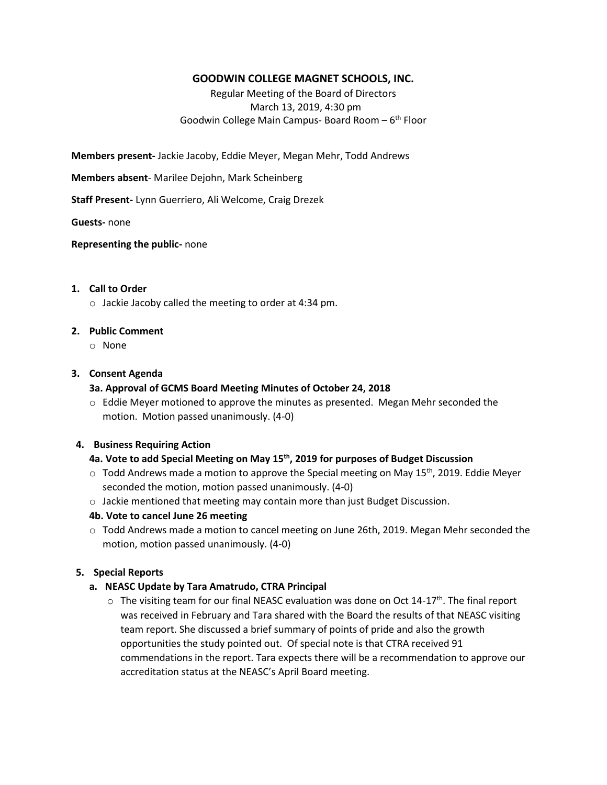# **GOODWIN COLLEGE MAGNET SCHOOLS, INC.**

Regular Meeting of the Board of Directors March 13, 2019, 4:30 pm Goodwin College Main Campus- Board Room - 6<sup>th</sup> Floor

**Members present-** Jackie Jacoby, Eddie Meyer, Megan Mehr, Todd Andrews

**Members absent**- Marilee Dejohn, Mark Scheinberg

**Staff Present-** Lynn Guerriero, Ali Welcome, Craig Drezek

**Guests-** none

**Representing the public-** none

## **1. Call to Order**

o Jackie Jacoby called the meeting to order at 4:34 pm.

#### **2. Public Comment**

o None

#### **3. Consent Agenda**

#### **3a. Approval of GCMS Board Meeting Minutes of October 24, 2018**

 $\circ$  Eddie Meyer motioned to approve the minutes as presented. Megan Mehr seconded the motion. Motion passed unanimously. (4-0)

#### **4. Business Requiring Action**

# **4a. Vote to add Special Meeting on May 15th, 2019 for purposes of Budget Discussion**

- $\circ$  Todd Andrews made a motion to approve the Special meeting on May 15<sup>th</sup>, 2019. Eddie Meyer seconded the motion, motion passed unanimously. (4-0)
- o Jackie mentioned that meeting may contain more than just Budget Discussion.

## **4b. Vote to cancel June 26 meeting**

o Todd Andrews made a motion to cancel meeting on June 26th, 2019. Megan Mehr seconded the motion, motion passed unanimously. (4-0)

## **5. Special Reports**

## **a. NEASC Update by Tara Amatrudo, CTRA Principal**

 $\circ$  The visiting team for our final NEASC evaluation was done on Oct 14-17<sup>th</sup>. The final report was received in February and Tara shared with the Board the results of that NEASC visiting team report. She discussed a brief summary of points of pride and also the growth opportunities the study pointed out. Of special note is that CTRA received 91 commendations in the report. Tara expects there will be a recommendation to approve our accreditation status at the NEASC's April Board meeting.